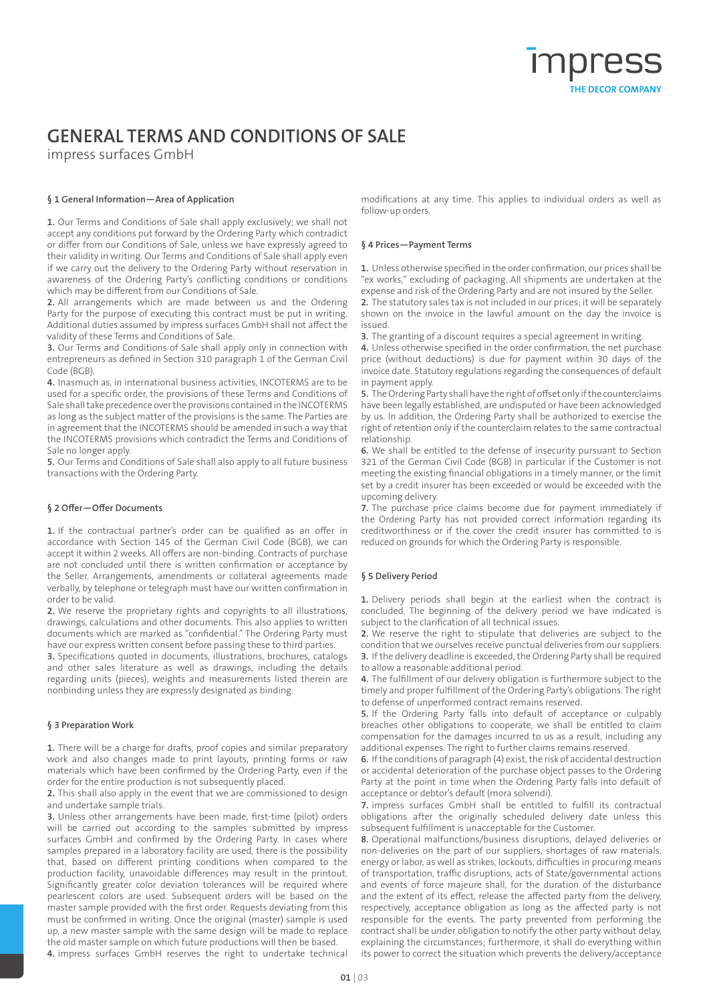# **GENERAL TERMS AND CONDITIONS OF SALE**

impress surfaces GmbH

# **§ 1 General Information—Area of Application**

**1.** Our Terms and Conditions of Sale shall apply exclusively; we shall not accept any conditions put forward by the Ordering Party which contradict or differ from our Conditions of Sale, unless we have expressly agreed to their validity in writing. Our Terms and Conditions of Sale shall apply even if we carry out the delivery to the Ordering Party without reservation in awareness of the Ordering Party's conflicting conditions or conditions which may be different from our Conditions of Sale.

**2.** All arrangements which are made between us and the Ordering Party for the purpose of executing this contract must be put in writing. Additional duties assumed by impress surfaces GmbH shall not affect the validity of these Terms and Conditions of Sale.

**3.** Our Terms and Conditions of Sale shall apply only in connection with entrepreneurs as defined in Section 310 paragraph 1 of the German Civil Code (BGB).

**4.** Inasmuch as, in international business activities, INCOTERMS are to be used for a specific order, the provisions of these Terms and Conditions of Sale shall take precedence over the provisions contained in the INCOTERMS as long as the subject matter of the provisions is the same. The Parties are in agreement that the INCOTERMS should be amended in such a way that the INCOTERMS provisions which contradict the Terms and Conditions of Sale no longer apply.

**5.** Our Terms and Conditions of Sale shall also apply to all future business transactions with the Ordering Party.

# **§ 2 Offer—Offer Documents**

**1.** If the contractual partner's order can be qualified as an offer in accordance with Section 145 of the German Civil Code (BGB), we can accept it within 2 weeks. All offers are non-binding. Contracts of purchase are not concluded until there is written confirmation or acceptance by the Seller. Arrangements, amendments or collateral agreements made verbally, by telephone or telegraph must have our written confirmation in order to be valid.

**2.** We reserve the proprietary rights and copyrights to all illustrations, drawings, calculations and other documents. This also applies to written documents which are marked as "confidential." The Ordering Party must have our express written consent before passing these to third parties.

**3.** Specifications quoted in documents, illustrations, brochures, catalogs and other sales literature as well as drawings, including the details regarding units (pieces), weights and measurements listed therein are nonbinding unless they are expressly designated as binding.

# **§ 3 Preparation Work**

**1.** There will be a charge for drafts, proof copies and similar preparatory work and also changes made to print layouts, printing forms or raw materials which have been confirmed by the Ordering Party, even if the order for the entire production is not subsequently placed.

**2.** This shall also apply in the event that we are commissioned to design and undertake sample trials.

**3.** Unless other arrangements have been made, first-time (pilot) orders will be carried out according to the samples submitted by impress surfaces GmbH and confirmed by the Ordering Party. In cases where samples prepared in a laboratory facility are used, there is the possibility that, based on different printing conditions when compared to the production facility, unavoidable differences may result in the printout. Significantly greater color deviation tolerances will be required where pearlescent colors are used. Subsequent orders will be based on the master sample provided with the first order. Requests deviating from this must be confirmed in writing. Once the original (master) sample is used up, a new master sample with the same design will be made to replace the old master sample on which future productions will then be based.

**4.** impress surfaces GmbH reserves the right to undertake technical

modifications at any time. This applies to individual orders as well as follow-up orders.

### **§ 4 Prices—Payment Terms**

**1.** Unless otherwise specified in the order confirmation, our prices shall be "ex works," excluding of packaging. All shipments are undertaken at the expense and risk of the Ordering Party and are not insured by the Seller. **2.** The statutory sales tax is not included in our prices; it will be separately shown on the invoice in the lawful amount on the day the invoice is issued.

**3.** The granting of a discount requires a special agreement in writing.

**4.** Unless otherwise specified in the order confirmation, the net purchase price (without deductions) is due for payment within 30 days of the invoice date. Statutory regulations regarding the consequences of default in payment apply.

**5.** The Ordering Party shall have the right of offset only if the counterclaims have been legally established, are undisputed or have been acknowledged by us. In addition, the Ordering Party shall be authorized to exercise the right of retention only if the counterclaim relates to the same contractual relationship.

**6.** We shall be entitled to the defense of insecurity pursuant to Section 321 of the German Civil Code (BGB) in particular if the Customer is not meeting the existing financial obligations in a timely manner, or the limit set by a credit insurer has been exceeded or would be exceeded with the upcoming delivery.

**7.** The purchase price claims become due for payment immediately if the Ordering Party has not provided correct information regarding its creditworthiness or if the cover the credit insurer has committed to is reduced on grounds for which the Ordering Party is responsible.

# **§ 5 Delivery Period**

**1.** Delivery periods shall begin at the earliest when the contract is concluded. The beginning of the delivery period we have indicated is subject to the clarification of all technical issues.

**2.** We reserve the right to stipulate that deliveries are subject to the condition that we ourselves receive punctual deliveries from our suppliers. **3.** If the delivery deadline is exceeded, the Ordering Party shall be required to allow a reasonable additional period.

**4.** The fulfillment of our delivery obligation is furthermore subject to the timely and proper fulfillment of the Ordering Party's obligations. The right to defense of unperformed contract remains reserved.

**5.** If the Ordering Party falls into default of acceptance or culpably breaches other obligations to cooperate, we shall be entitled to claim compensation for the damages incurred to us as a result, including any additional expenses. The right to further claims remains reserved.

**6.** If the conditions of paragraph (4) exist, the risk of accidental destruction or accidental deterioration of the purchase object passes to the Ordering Party at the point in time when the Ordering Party falls into default of acceptance or debtor's default (mora solvendi).

**7.** impress surfaces GmbH shall be entitled to fulfill its contractual obligations after the originally scheduled delivery date unless this subsequent fulfillment is unacceptable for the Customer.

**8.** Operational malfunctions/business disruptions, delayed deliveries or non-deliveries on the part of our suppliers, shortages of raw materials, energy or labor, as well as strikes, lockouts, difficulties in procuring means of transportation, traffic disruptions, acts of State/governmental actions and events of force majeure shall, for the duration of the disturbance and the extent of its effect, release the affected party from the delivery, respectively, acceptance obligation as long as the affected party is not responsible for the events. The party prevented from performing the contract shall be under obligation to notify the other party without delay, explaining the circumstances; furthermore, it shall do everything within its power to correct the situation which prevents the delivery/acceptance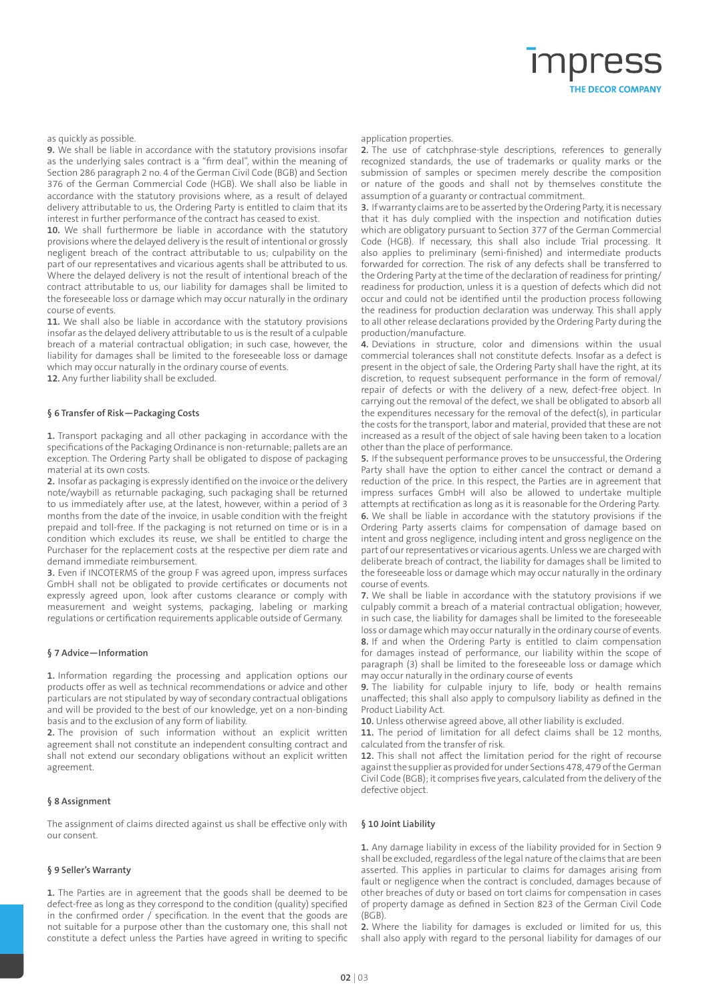# THE DECOR COMPANY

#### as quickly as possible.

**9.** We shall be liable in accordance with the statutory provisions insofar as the underlying sales contract is a "firm deal", within the meaning of Section 286 paragraph 2 no. 4 of the German Civil Code (BGB) and Section 376 of the German Commercial Code (HGB). We shall also be liable in accordance with the statutory provisions where, as a result of delayed delivery attributable to us, the Ordering Party is entitled to claim that its interest in further performance of the contract has ceased to exist.

**10.** We shall furthermore be liable in accordance with the statutory provisions where the delayed delivery is the result of intentional or grossly negligent breach of the contract attributable to us; culpability on the part of our representatives and vicarious agents shall be attributed to us. Where the delayed delivery is not the result of intentional breach of the contract attributable to us, our liability for damages shall be limited to the foreseeable loss or damage which may occur naturally in the ordinary course of events.

**11.** We shall also be liable in accordance with the statutory provisions insofar as the delayed delivery attributable to us is the result of a culpable breach of a material contractual obligation; in such case, however, the liability for damages shall be limited to the foreseeable loss or damage which may occur naturally in the ordinary course of events.

**12.** Any further liability shall be excluded.

#### **§ 6 Transfer of Risk—Packaging Costs**

**1.** Transport packaging and all other packaging in accordance with the specifications of the Packaging Ordinance is non-returnable; pallets are an exception. The Ordering Party shall be obligated to dispose of packaging material at its own costs.

**2.** Insofar as packaging is expressly identified on the invoice or the delivery note/waybill as returnable packaging, such packaging shall be returned to us immediately after use, at the latest, however, within a period of 3 months from the date of the invoice, in usable condition with the freight prepaid and toll-free. If the packaging is not returned on time or is in a condition which excludes its reuse, we shall be entitled to charge the Purchaser for the replacement costs at the respective per diem rate and demand immediate reimbursement.

**3.** Even if INCOTERMS of the group F was agreed upon, impress surfaces GmbH shall not be obligated to provide certificates or documents not expressly agreed upon, look after customs clearance or comply with measurement and weight systems, packaging, labeling or marking regulations or certification requirements applicable outside of Germany.

#### **§ 7 Advice—Information**

**1.** Information regarding the processing and application options our products offer as well as technical recommendations or advice and other particulars are not stipulated by way of secondary contractual obligations and will be provided to the best of our knowledge, yet on a non-binding basis and to the exclusion of any form of liability.

**2.** The provision of such information without an explicit written agreement shall not constitute an independent consulting contract and shall not extend our secondary obligations without an explicit written agreement.

#### **§ 8 Assignment**

The assignment of claims directed against us shall be effective only with our consent.

#### **§ 9 Seller's Warranty**

**1.** The Parties are in agreement that the goods shall be deemed to be defect-free as long as they correspond to the condition (quality) specified in the confirmed order / specification. In the event that the goods are not suitable for a purpose other than the customary one, this shall not constitute a defect unless the Parties have agreed in writing to specific

#### application properties.

**2.** The use of catchphrase-style descriptions, references to generally recognized standards, the use of trademarks or quality marks or the submission of samples or specimen merely describe the composition or nature of the goods and shall not by themselves constitute the assumption of a guaranty or contractual commitment.

**3.** If warranty claims are to be asserted by the Ordering Party, it is necessary that it has duly complied with the inspection and notification duties which are obligatory pursuant to Section 377 of the German Commercial Code (HGB). If necessary, this shall also include Trial processing. It also applies to preliminary (semi-finished) and intermediate products forwarded for correction. The risk of any defects shall be transferred to the Ordering Party at the time of the declaration of readiness for printing/ readiness for production, unless it is a question of defects which did not occur and could not be identified until the production process following the readiness for production declaration was underway. This shall apply to all other release declarations provided by the Ordering Party during the production/manufacture.

**4.** Deviations in structure, color and dimensions within the usual commercial tolerances shall not constitute defects. Insofar as a defect is present in the object of sale, the Ordering Party shall have the right, at its discretion, to request subsequent performance in the form of removal/ repair of defects or with the delivery of a new, defect-free object. In carrying out the removal of the defect, we shall be obligated to absorb all the expenditures necessary for the removal of the defect(s), in particular the costs for the transport, labor and material, provided that these are not increased as a result of the object of sale having been taken to a location other than the place of performance.

**5.** If the subsequent performance proves to be unsuccessful, the Ordering Party shall have the option to either cancel the contract or demand a reduction of the price. In this respect, the Parties are in agreement that impress surfaces GmbH will also be allowed to undertake multiple attempts at rectification as long as it is reasonable for the Ordering Party. **6.** We shall be liable in accordance with the statutory provisions if the Ordering Party asserts claims for compensation of damage based on intent and gross negligence, including intent and gross negligence on the part of our representatives or vicarious agents. Unless we are charged with deliberate breach of contract, the liability for damages shall be limited to the foreseeable loss or damage which may occur naturally in the ordinary course of events.

**7.** We shall be liable in accordance with the statutory provisions if we culpably commit a breach of a material contractual obligation; however, in such case, the liability for damages shall be limited to the foreseeable loss or damage which may occur naturally in the ordinary course of events. **8.** If and when the Ordering Party is entitled to claim compensation for damages instead of performance, our liability within the scope of paragraph (3) shall be limited to the foreseeable loss or damage which may occur naturally in the ordinary course of events

**9.** The liability for culpable injury to life, body or health remains unaffected; this shall also apply to compulsory liability as defined in the Product Liability Act.

**10.** Unless otherwise agreed above, all other liability is excluded.

**11.** The period of limitation for all defect claims shall be 12 months, calculated from the transfer of risk.

**12.** This shall not affect the limitation period for the right of recourse against the supplier as provided for under Sections 478, 479 of the German Civil Code (BGB); it comprises five years, calculated from the delivery of the defective object.

#### **§ 10 Joint Liability**

**1.** Any damage liability in excess of the liability provided for in Section 9 shall be excluded, regardless of the legal nature of the claims that are been asserted. This applies in particular to claims for damages arising from fault or negligence when the contract is concluded, damages because of other breaches of duty or based on tort claims for compensation in cases of property damage as defined in Section 823 of the German Civil Code (BGB).

**2.** Where the liability for damages is excluded or limited for us, this shall also apply with regard to the personal liability for damages of our